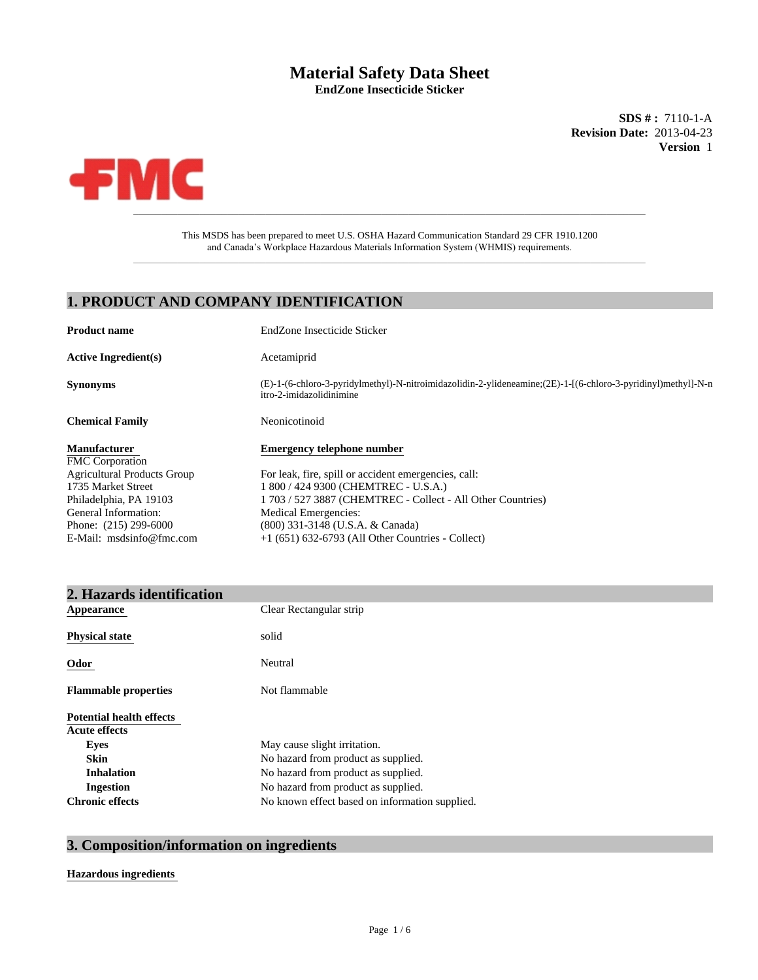# **Material Safety Data Sheet**

**EndZone Insecticide Sticker**

**Revision Date:** 2013-04-23 **Version** 1 **SDS # :** 7110-1-A



 $\_$  , and the set of the set of the set of the set of the set of the set of the set of the set of the set of the set of the set of the set of the set of the set of the set of the set of the set of the set of the set of th This MSDS has been prepared to meet U.S. OSHA Hazard Communication Standard 29 CFR 1910.1200 and Canada's Workplace Hazardous Materials Information System (WHMIS) requirements.

### **1. PRODUCT AND COMPANY IDENTIFICATION**

| <b>Product name</b>                | EndZone Insecticide Sticker                                                                                                              |
|------------------------------------|------------------------------------------------------------------------------------------------------------------------------------------|
| <b>Active Ingredient(s)</b>        | Acetamiprid                                                                                                                              |
| <b>Synonyms</b>                    | (E)-1-(6-chloro-3-pyridylmethyl)-N-nitroimidazolidin-2-ylideneamine;(2E)-1-(6-chloro-3-pyridinyl)methyl]-N-n<br>itro-2-imidazolidinimine |
| <b>Chemical Family</b>             | Neonicotinoid                                                                                                                            |
| <b>Manufacturer</b>                | <b>Emergency telephone number</b>                                                                                                        |
| <b>FMC</b> Corporation             |                                                                                                                                          |
| <b>Agricultural Products Group</b> | For leak, fire, spill or accident emergencies, call:                                                                                     |
| 1735 Market Street                 | 1 800 / 424 9300 (CHEMTREC - U.S.A.)                                                                                                     |
| Philadelphia, PA 19103             | 1 703 / 527 3887 (CHEMTREC - Collect - All Other Countries)                                                                              |
| General Information:               | Medical Emergencies:                                                                                                                     |
| Phone: $(215)$ 299-6000            | (800) 331-3148 (U.S.A. & Canada)                                                                                                         |
| E-Mail: msdsinfo@fmc.com           | $+1$ (651) 632-6793 (All Other Countries - Collect)                                                                                      |

| 2. Hazards identification                               |                                                |
|---------------------------------------------------------|------------------------------------------------|
| Appearance                                              | Clear Rectangular strip                        |
| <b>Physical state</b>                                   | solid                                          |
| Odor                                                    | Neutral                                        |
| <b>Flammable properties</b>                             | Not flammable                                  |
| <b>Potential health effects</b><br><b>Acute effects</b> |                                                |
| <b>Eyes</b>                                             | May cause slight irritation.                   |
| <b>Skin</b>                                             | No hazard from product as supplied.            |
| <b>Inhalation</b>                                       | No hazard from product as supplied.            |
| Ingestion                                               | No hazard from product as supplied.            |
| <b>Chronic effects</b>                                  | No known effect based on information supplied. |

## **3. Composition/information on ingredients**

#### **Hazardous ingredients**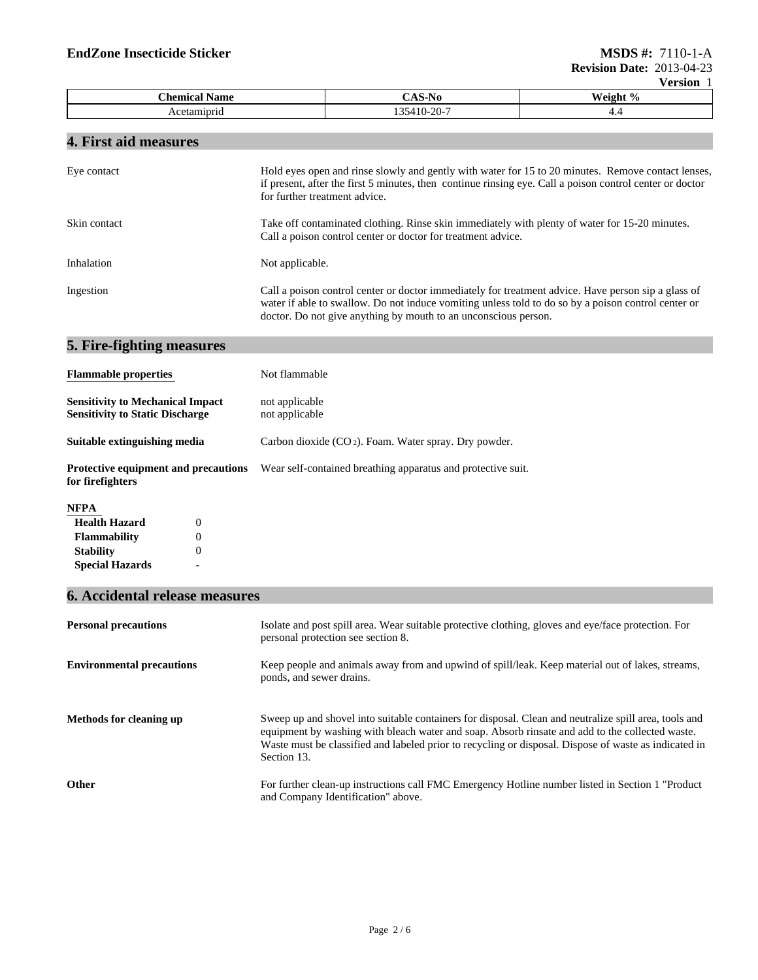|                          |                                     | $\cdot$ $\cdot$ $\cdot$ $\cdot$ $\cdot$ $\cdot$ |  |
|--------------------------|-------------------------------------|-------------------------------------------------|--|
| Chemical.<br><b>Name</b> | -170<br>۰.                          | Weight Y<br>-70                                 |  |
| tamıprıd<br>Ace          | $\sim$<br>≀4 L I<br>1-70-<br>$\sim$ | . .                                             |  |

## **4. First aid measures**

| Eye contact                                                                       | Hold eyes open and rinse slowly and gently with water for 15 to 20 minutes. Remove contact lenses,<br>if present, after the first 5 minutes, then continue rinsing eye. Call a poison control center or doctor<br>for further treatment advice.                               |  |  |
|-----------------------------------------------------------------------------------|-------------------------------------------------------------------------------------------------------------------------------------------------------------------------------------------------------------------------------------------------------------------------------|--|--|
| Skin contact                                                                      | Take off contaminated clothing. Rinse skin immediately with plenty of water for 15-20 minutes.<br>Call a poison control center or doctor for treatment advice.                                                                                                                |  |  |
| Inhalation                                                                        | Not applicable.                                                                                                                                                                                                                                                               |  |  |
| Ingestion                                                                         | Call a poison control center or doctor immediately for treatment advice. Have person sip a glass of<br>water if able to swallow. Do not induce vomiting unless told to do so by a poison control center or<br>doctor. Do not give anything by mouth to an unconscious person. |  |  |
| 5. Fire-fighting measures                                                         |                                                                                                                                                                                                                                                                               |  |  |
| <b>Flammable properties</b>                                                       | Not flammable                                                                                                                                                                                                                                                                 |  |  |
| <b>Sensitivity to Mechanical Impact</b><br><b>Sensitivity to Static Discharge</b> | not applicable<br>not applicable                                                                                                                                                                                                                                              |  |  |
| Suitable extinguishing media                                                      | Carbon dioxide $(CO_2)$ . Foam. Water spray. Dry powder.                                                                                                                                                                                                                      |  |  |
| <b>Protective equipment and precautions</b><br>for firefighters                   | Wear self-contained breathing apparatus and protective suit.                                                                                                                                                                                                                  |  |  |

#### **NFPA**

| $\mathbf{\Omega}$ |  |
|-------------------|--|
| $\mathbf{\Omega}$ |  |
| 0                 |  |
| -                 |  |
|                   |  |

## **6. Accidental release measures**

| <b>Personal precautions</b>      | Isolate and post spill area. Wear suitable protective clothing, gloves and eye/face protection. For<br>personal protection see section 8.                                                                                                                                                                                        |
|----------------------------------|----------------------------------------------------------------------------------------------------------------------------------------------------------------------------------------------------------------------------------------------------------------------------------------------------------------------------------|
| <b>Environmental precautions</b> | Keep people and animals away from and upwind of spill/leak. Keep material out of lakes, streams,<br>ponds, and sewer drains.                                                                                                                                                                                                     |
| Methods for cleaning up          | Sweep up and shovel into suitable containers for disposal. Clean and neutralize spill area, tools and<br>equipment by washing with bleach water and soap. Absorb rinsate and add to the collected waste.<br>Waste must be classified and labeled prior to recycling or disposal. Dispose of waste as indicated in<br>Section 13. |
| Other                            | For further clean-up instructions call FMC Emergency Hotline number listed in Section 1 "Product"<br>and Company Identification" above.                                                                                                                                                                                          |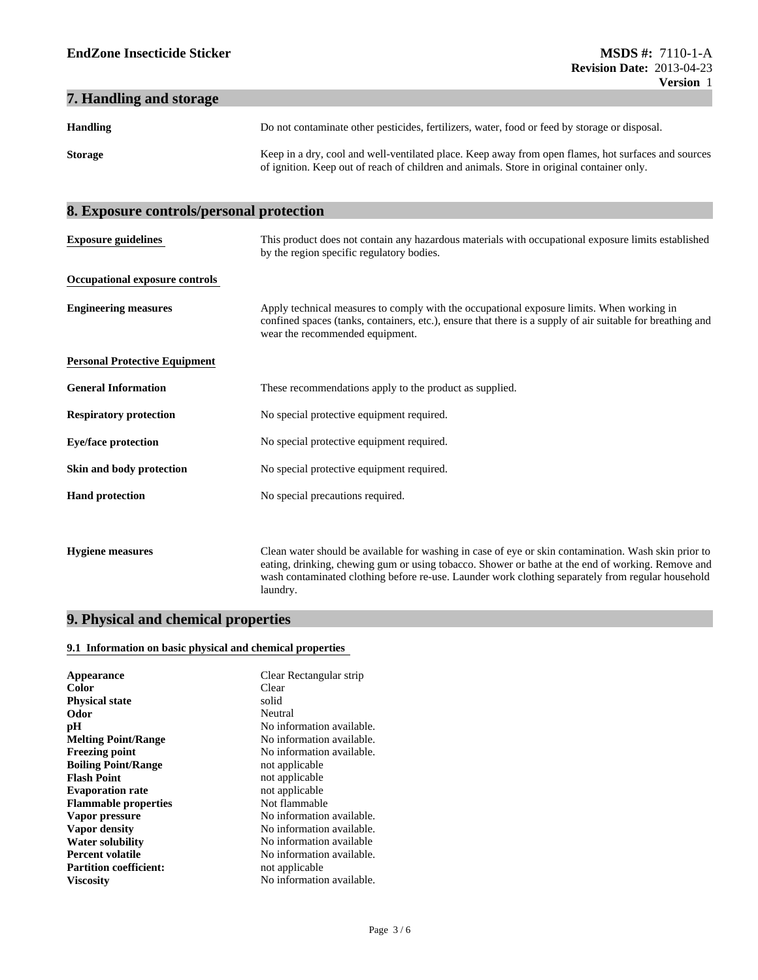#### **7. Handling and storage**

| <b>Handling</b> | Do not contaminate other pesticides, fertilizers, water, food or feed by storage or disposal.                                                                                                    |
|-----------------|--------------------------------------------------------------------------------------------------------------------------------------------------------------------------------------------------|
| <b>Storage</b>  | Keep in a dry, cool and well-ventilated place. Keep away from open flames, hot surfaces and sources<br>of ignition. Keep out of reach of children and animals. Store in original container only. |

## **8. Exposure controls/personal protection Personal Protective Equipment Occupational exposure controls General Information** These recommendations apply to the product as supplied. **Exposure guidelines Respiratory protection** No special protective equipment required. This product does not contain any hazardous materials with occupational exposure limits established by the region specific regulatory bodies. **Engineering measures** Apply technical measures to comply with the occupational exposure limits. When working in confined spaces (tanks, containers, etc.), ensure that there is a supply of air suitable for breathing and wear the recommended equipment.

| <b>Eye/face protection</b> | No special protective equipment required. |
|----------------------------|-------------------------------------------|
|                            |                                           |

- **Skin and body protection** No special protective equipment required.
- **Hand protection** No special precautions required.

**Hygiene measures** Clean water should be available for washing in case of eye or skin contamination. Wash skin prior to eating, drinking, chewing gum or using tobacco. Shower or bathe at the end of working. Remove and wash contaminated clothing before re-use. Launder work clothing separately from regular household laundry.

#### **9. Physical and chemical properties**

#### **9.1 Information on basic physical and chemical properties**

| Appearance                    | Clear Rectangular strip   |
|-------------------------------|---------------------------|
| Color                         | Clear                     |
| <b>Physical state</b>         | solid                     |
| Odor                          | Neutral                   |
| рH                            | No information available. |
| <b>Melting Point/Range</b>    | No information available. |
| <b>Freezing point</b>         | No information available. |
| <b>Flash Point</b>            | not applicable            |
| <b>Evaporation rate</b>       | not applicable            |
| <b>Flammable properties</b>   | Not flammable             |
| Vapor pressure                | No information available. |
| Vapor density                 | No information available. |
| <b>Water solubility</b>       | No information available  |
| <b>Percent volatile</b>       | No information available. |
| <b>Partition coefficient:</b> | not applicable            |
| <b>Viscosity</b>              | No information available. |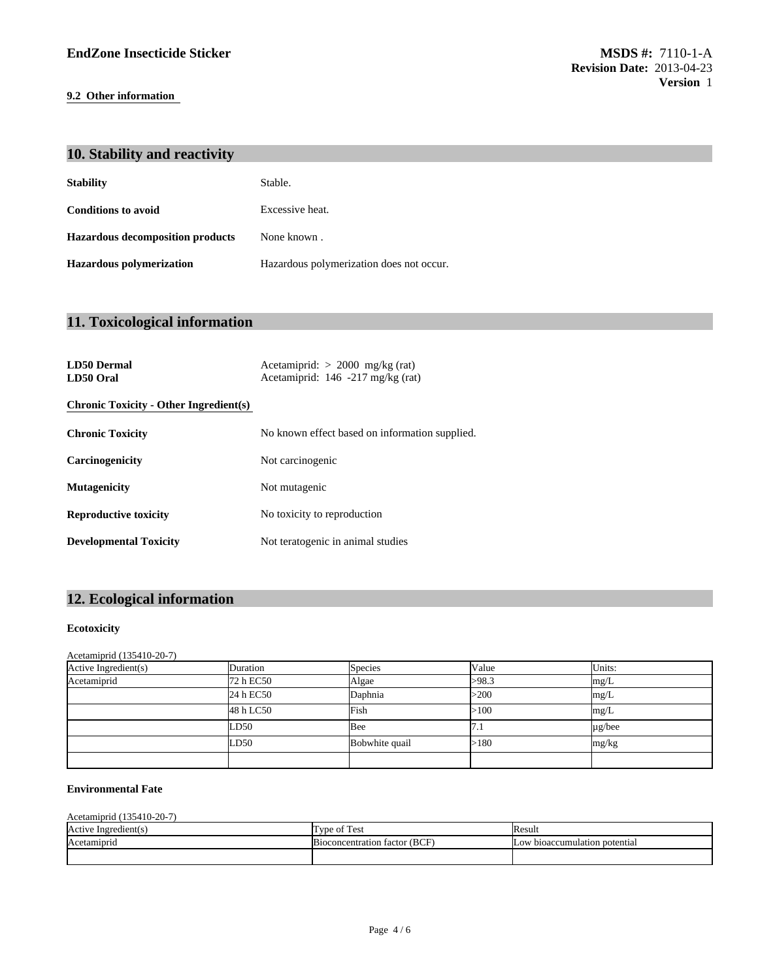#### **9.2 Other information**

| 10. Stability and reactivity            |                                          |  |
|-----------------------------------------|------------------------------------------|--|
| <b>Stability</b>                        | Stable.                                  |  |
| <b>Conditions to avoid</b>              | Excessive heat.                          |  |
| <b>Hazardous decomposition products</b> | None known.                              |  |
| <b>Hazardous polymerization</b>         | Hazardous polymerization does not occur. |  |
|                                         |                                          |  |

## **11. Toxicological information**

| <b>LD50 Dermal</b><br>LD50 Oral               | Acetamiprid: $> 2000$ mg/kg (rat)<br>Acetamiprid: 146 -217 mg/kg (rat) |  |  |
|-----------------------------------------------|------------------------------------------------------------------------|--|--|
| <b>Chronic Toxicity - Other Ingredient(s)</b> |                                                                        |  |  |
| <b>Chronic Toxicity</b>                       | No known effect based on information supplied.                         |  |  |
| Carcinogenicity                               | Not carcinogenic                                                       |  |  |
| <b>Mutagenicity</b>                           | Not mutagenic                                                          |  |  |
| <b>Reproductive toxicity</b>                  | No toxicity to reproduction                                            |  |  |
| <b>Developmental Toxicity</b>                 | Not teratogenic in animal studies                                      |  |  |

## **12. Ecological information**

#### **Ecotoxicity**

#### Acetamiprid (135410-20-7)

| Active Ingredient(s) | Duration  | <b>Species</b> | Value | Units:      |
|----------------------|-----------|----------------|-------|-------------|
| Acetamiprid          | 72 h EC50 | Algae          | >98.3 | mg/L        |
|                      | 24 h EC50 | Daphnia        | >200  | mg/L        |
|                      | 48 h LC50 | Fish           | >100  | mg/L        |
|                      | LD50      | Bee            | 1.1   | $\mu$ g/bee |
|                      | LD50      | Bobwhite quail | >180  | mg/kg       |
|                      |           |                |       |             |

#### **Environmental Fate**

| Acetamiprid (135410-20-7) |                               |                               |
|---------------------------|-------------------------------|-------------------------------|
| Active Ingredient(s)      | Type of Test                  | <b>Result</b>                 |
| Acetamiprid               | Bioconcentration factor (BCF) | Low bioaccumulation potential |
|                           |                               |                               |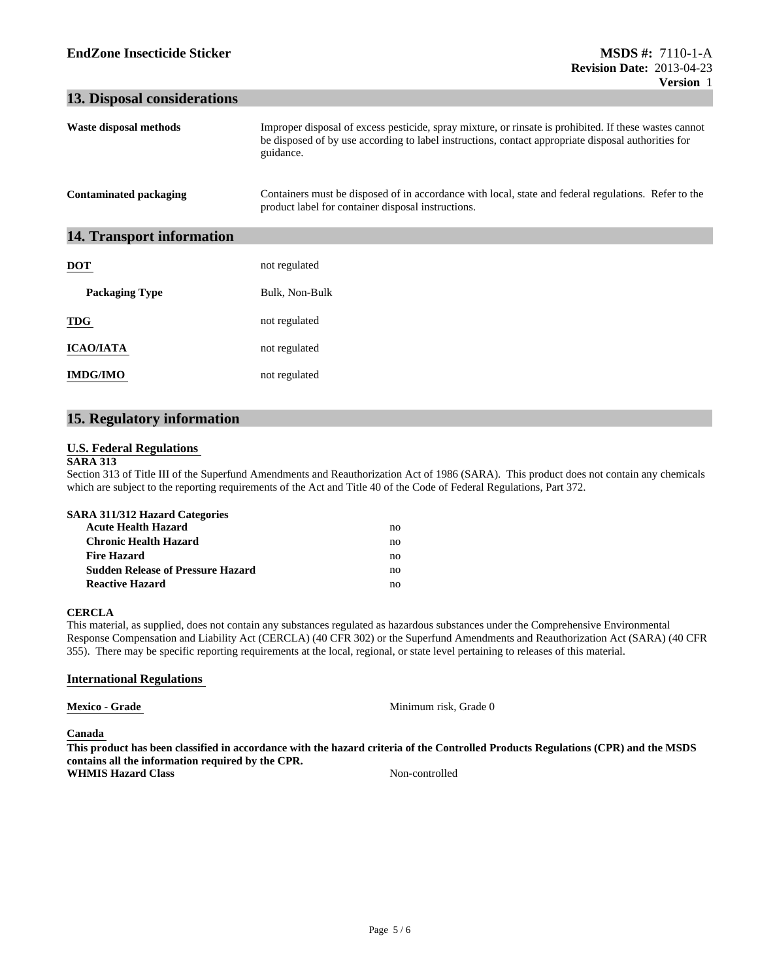#### **13. Disposal considerations**

| Waste disposal methods        | Improper disposal of excess pesticide, spray mixture, or rinsate is prohibited. If these wastes cannot<br>be disposed of by use according to label instructions, contact appropriate disposal authorities for<br>guidance. |
|-------------------------------|----------------------------------------------------------------------------------------------------------------------------------------------------------------------------------------------------------------------------|
| <b>Contaminated packaging</b> | Containers must be disposed of in accordance with local, state and federal regulations. Refer to the<br>product label for container disposal instructions.                                                                 |
| 14. Transport information     |                                                                                                                                                                                                                            |
| <b>DOT</b>                    | not regulated                                                                                                                                                                                                              |
| <b>Packaging Type</b>         | Bulk, Non-Bulk                                                                                                                                                                                                             |
| <b>TDG</b>                    | not regulated                                                                                                                                                                                                              |
| <b>ICAO/IATA</b>              | not regulated                                                                                                                                                                                                              |
| <b>IMDG/IMO</b>               | not regulated                                                                                                                                                                                                              |

#### **15. Regulatory information**

#### **U.S. Federal Regulations**

#### **SARA 313**

Section 313 of Title III of the Superfund Amendments and Reauthorization Act of 1986 (SARA). This product does not contain any chemicals which are subject to the reporting requirements of the Act and Title 40 of the Code of Federal Regulations, Part 372.

| <b>SARA 311/312 Hazard Categories</b>    |    |  |
|------------------------------------------|----|--|
| <b>Acute Health Hazard</b>               | no |  |
| <b>Chronic Health Hazard</b>             | no |  |
| <b>Fire Hazard</b>                       | no |  |
| <b>Sudden Release of Pressure Hazard</b> | no |  |
| <b>Reactive Hazard</b>                   | no |  |

#### **CERCLA**

This material, as supplied, does not contain any substances regulated as hazardous substances under the Comprehensive Environmental Response Compensation and Liability Act (CERCLA) (40 CFR 302) or the Superfund Amendments and Reauthorization Act (SARA) (40 CFR 355). There may be specific reporting requirements at the local, regional, or state level pertaining to releases of this material.

#### **International Regulations**

**Mexico - Grade** Minimum risk, Grade 0

**Canada** 

**This product has been classified in accordance with the hazard criteria of the Controlled Products Regulations (CPR) and the MSDS contains all the information required by the CPR. WHMIS Hazard Class** Non-controlled